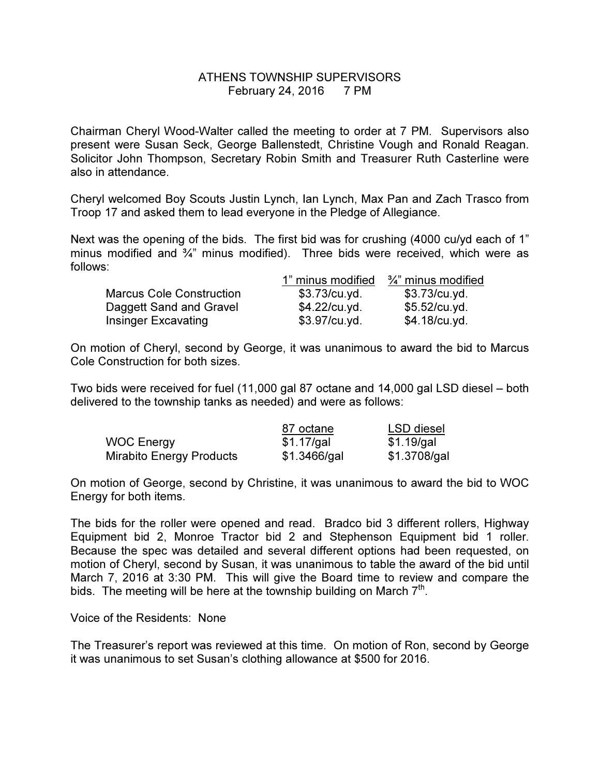## ATHENS TOWNSHIP SUPERVISORS February 24, 2016 7 PM

Chairman Cheryl Wood-Walter called the meeting to order at 7 PM. Supervisors also present were Susan Seck, George Ballenstedt, Christine Vough and Ronald Reagan. Solicitor John Thompson, Secretary Robin Smith and Treasurer Ruth Casterline were also in attendance.

Cheryl welcomed Boy Scouts Justin Lynch, Ian Lynch, Max Pan and Zach Trasco from Troop 17 and asked them to lead everyone in the Pledge of Allegiance.

Next was the opening of the bids. The first bid was for crushing (4000 cu/yd each of 1" minus modified and ¾" minus modified). Three bids were received, which were as follows:

|                                 | 1" minus modified | $\frac{3}{4}$ " minus modified |
|---------------------------------|-------------------|--------------------------------|
| <b>Marcus Cole Construction</b> | $$3.73$ /cu.yd.   | \$3.73/cu.yd.                  |
| Daggett Sand and Gravel         | $$4.22/cu$ .yd.   | \$5.52/cu.yd.                  |
| Insinger Excavating             | $$3.97/cu$ . yd.  | \$4.18/cu.yd.                  |

On motion of Cheryl, second by George, it was unanimous to award the bid to Marcus Cole Construction for both sizes.

Two bids were received for fuel (11,000 gal 87 octane and 14,000 gal LSD diesel – both delivered to the township tanks as needed) and were as follows:

|                                 | 87 octane    | <b>LSD</b> diesel |
|---------------------------------|--------------|-------------------|
| <b>WOC Energy</b>               | \$1.17/gal   | \$1.19/gal        |
| <b>Mirabito Energy Products</b> | \$1.3466/gal | \$1.3708/gal      |

On motion of George, second by Christine, it was unanimous to award the bid to WOC Energy for both items.

The bids for the roller were opened and read. Bradco bid 3 different rollers, Highway Equipment bid 2, Monroe Tractor bid 2 and Stephenson Equipment bid 1 roller. Because the spec was detailed and several different options had been requested, on motion of Cheryl, second by Susan, it was unanimous to table the award of the bid until March 7, 2016 at 3:30 PM. This will give the Board time to review and compare the bids. The meeting will be here at the township building on March  $7<sup>th</sup>$ .

Voice of the Residents: None

The Treasurer's report was reviewed at this time. On motion of Ron, second by George it was unanimous to set Susan's clothing allowance at \$500 for 2016.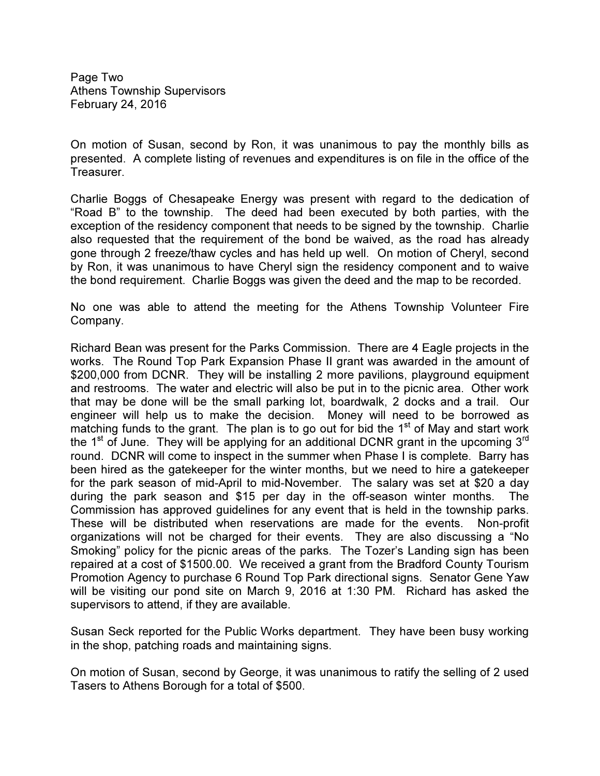Page Two Athens Township Supervisors February 24, 2016

On motion of Susan, second by Ron, it was unanimous to pay the monthly bills as presented. A complete listing of revenues and expenditures is on file in the office of the Treasurer.

Charlie Boggs of Chesapeake Energy was present with regard to the dedication of "Road B" to the township. The deed had been executed by both parties, with the exception of the residency component that needs to be signed by the township. Charlie also requested that the requirement of the bond be waived, as the road has already gone through 2 freeze/thaw cycles and has held up well. On motion of Cheryl, second by Ron, it was unanimous to have Cheryl sign the residency component and to waive the bond requirement. Charlie Boggs was given the deed and the map to be recorded.

No one was able to attend the meeting for the Athens Township Volunteer Fire Company.

Richard Bean was present for the Parks Commission. There are 4 Eagle projects in the works. The Round Top Park Expansion Phase II grant was awarded in the amount of \$200,000 from DCNR. They will be installing 2 more pavilions, playground equipment and restrooms. The water and electric will also be put in to the picnic area. Other work that may be done will be the small parking lot, boardwalk, 2 docks and a trail. Our engineer will help us to make the decision. Money will need to be borrowed as matching funds to the grant. The plan is to go out for bid the  $1<sup>st</sup>$  of May and start work the  $1<sup>st</sup>$  of June. They will be applying for an additional DCNR grant in the upcoming  $3<sup>rd</sup>$ round. DCNR will come to inspect in the summer when Phase I is complete. Barry has been hired as the gatekeeper for the winter months, but we need to hire a gatekeeper for the park season of mid-April to mid-November. The salary was set at \$20 a day during the park season and \$15 per day in the off-season winter months. The Commission has approved guidelines for any event that is held in the township parks. These will be distributed when reservations are made for the events. Non-profit organizations will not be charged for their events. They are also discussing a "No Smoking" policy for the picnic areas of the parks. The Tozer's Landing sign has been repaired at a cost of \$1500.00. We received a grant from the Bradford County Tourism Promotion Agency to purchase 6 Round Top Park directional signs. Senator Gene Yaw will be visiting our pond site on March 9, 2016 at 1:30 PM. Richard has asked the supervisors to attend, if they are available.

Susan Seck reported for the Public Works department. They have been busy working in the shop, patching roads and maintaining signs.

On motion of Susan, second by George, it was unanimous to ratify the selling of 2 used Tasers to Athens Borough for a total of \$500.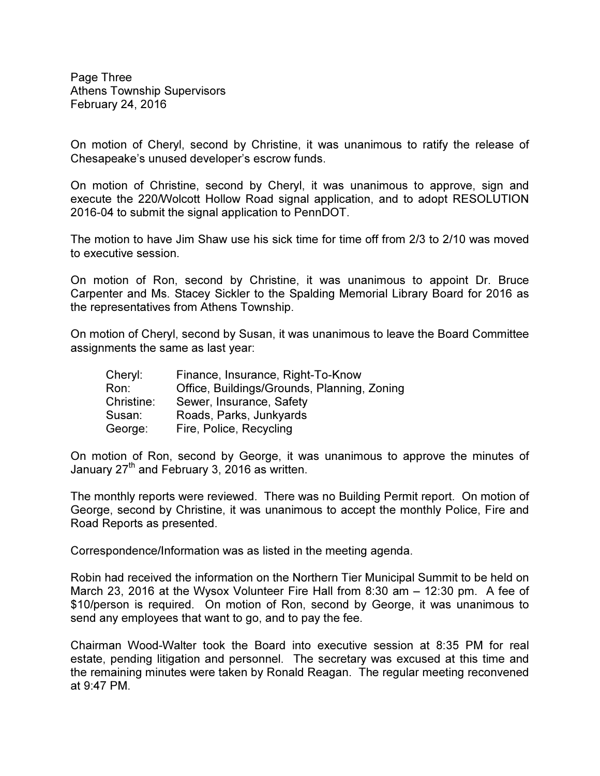Page Three Athens Township Supervisors February 24, 2016

On motion of Cheryl, second by Christine, it was unanimous to ratify the release of Chesapeake's unused developer's escrow funds.

On motion of Christine, second by Cheryl, it was unanimous to approve, sign and execute the 220/Wolcott Hollow Road signal application, and to adopt RESOLUTION 2016-04 to submit the signal application to PennDOT.

The motion to have Jim Shaw use his sick time for time off from 2/3 to 2/10 was moved to executive session.

On motion of Ron, second by Christine, it was unanimous to appoint Dr. Bruce Carpenter and Ms. Stacey Sickler to the Spalding Memorial Library Board for 2016 as the representatives from Athens Township.

On motion of Cheryl, second by Susan, it was unanimous to leave the Board Committee assignments the same as last year:

| Finance, Insurance, Right-To-Know           |
|---------------------------------------------|
| Office, Buildings/Grounds, Planning, Zoning |
| Sewer, Insurance, Safety                    |
| Roads, Parks, Junkyards                     |
| Fire, Police, Recycling                     |
|                                             |

On motion of Ron, second by George, it was unanimous to approve the minutes of January  $27<sup>th</sup>$  and February 3, 2016 as written.

The monthly reports were reviewed. There was no Building Permit report. On motion of George, second by Christine, it was unanimous to accept the monthly Police, Fire and Road Reports as presented.

Correspondence/Information was as listed in the meeting agenda.

Robin had received the information on the Northern Tier Municipal Summit to be held on March 23, 2016 at the Wysox Volunteer Fire Hall from 8:30 am – 12:30 pm. A fee of \$10/person is required. On motion of Ron, second by George, it was unanimous to send any employees that want to go, and to pay the fee.

Chairman Wood-Walter took the Board into executive session at 8:35 PM for real estate, pending litigation and personnel. The secretary was excused at this time and the remaining minutes were taken by Ronald Reagan. The regular meeting reconvened at 9:47 PM.